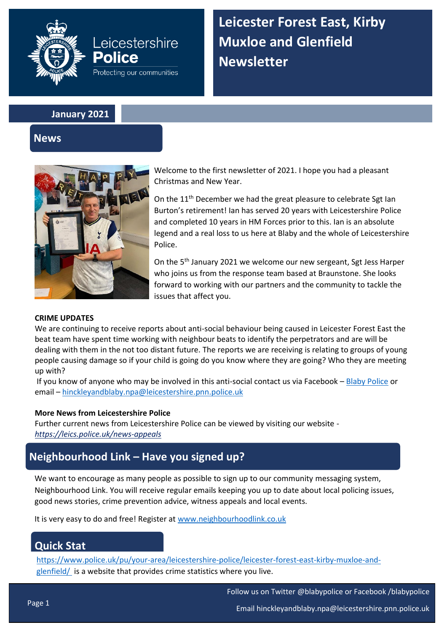

**Leicester Forest East, Kirby Muxloe and Glenfield Newsletter**

**January 2021**

**Leicestershire** 

Protecting our communities

Police

## **News**



Welcome to the first newsletter of 2021. I hope you had a pleasant Christmas and New Year.

On the  $11<sup>th</sup>$  December we had the great pleasure to celebrate Sgt Ian Burton's retirement! Ian has served 20 years with Leicestershire Police and completed 10 years in HM Forces prior to this. Ian is an absolute legend and a real loss to us here at Blaby and the whole of Leicestershire Police.

On the 5th January 2021 we welcome our new sergeant, Sgt Jess Harper who joins us from the response team based at Braunstone. She looks forward to working with our partners and the community to tackle the issues that affect you.

### **CRIME UPDATES**

We are continuing to receive reports about anti-social behaviour being caused in Leicester Forest East the beat team have spent time working with neighbour beats to identify the perpetrators and are will be dealing with them in the not too distant future. The reports we are receiving is relating to groups of young people causing damage so if your child is going do you know where they are going? Who they are meeting up with?

If you know of anyone who may be involved in this anti-social contact us via Facebook – [Blaby Police](https://www.facebook.com/blabypolice) or email – [hinckleyandblaby.npa@leicestershire.pnn.police.uk](mailto:hinckleyandblaby.npa@leicestershire.pnn.police.uk)

### **More News from Leicestershire Police**

Further current news from Leicestershire Police can be viewed by visiting our website *<https://leics.police.uk/news-appeals>*

# **Neighbourhood Link – Have you signed up?**

We want to encourage as many people as possible to sign up to our community messaging system, Neighbourhood Link. You will receive regular emails keeping you up to date about local policing issues, good news stories, crime prevention advice, witness appeals and local events.

It is very easy to do and free! Register at [www.neighbourhoodlink.co.uk](http://www.neighbourhoodlink.co.uk/)

# **Quick Stat**

[https://www.police.uk/pu/your-area/leicestershire-police/leicester-forest-east-kirby-muxloe-and](https://www.police.uk/pu/your-area/leicestershire-police/leicester-forest-east-kirby-muxloe-and-glenfield/)[glenfield/](https://www.police.uk/pu/your-area/leicestershire-police/leicester-forest-east-kirby-muxloe-and-glenfield/) is a website that provides crime statistics where you live.